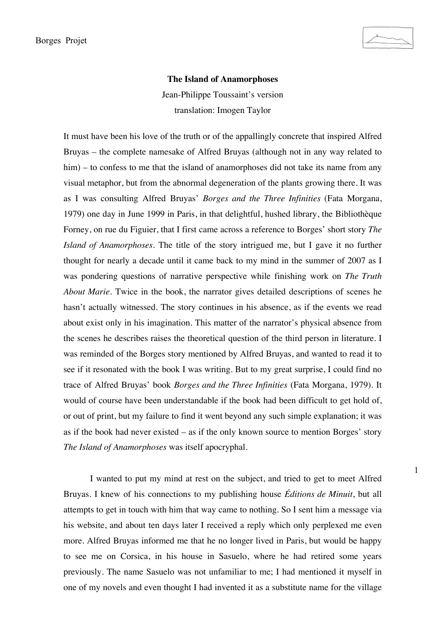1

## **The Island of Anamorphoses**

Jean-Philippe Toussaint's version translation: Imogen Taylor

It must have been his love of the truth or of the appallingly concrete that inspired Alfred Bruyas – the complete namesake of Alfred Bruyas (although not in any way related to him) – to confess to me that the island of anamorphoses did not take its name from any visual metaphor, but from the abnormal degeneration of the plants growing there. It was as I was consulting Alfred Bruyas' *Borges and the Three Infinities* (Fata Morgana, 1979) one day in June 1999 in Paris, in that delightful, hushed library, the Bibliothèque Forney, on rue du Figuier, that I first came across a reference to Borges' short story *The Island of Anamorphoses*. The title of the story intrigued me, but I gave it no further thought for nearly a decade until it came back to my mind in the summer of 2007 as I was pondering questions of narrative perspective while finishing work on *The Truth About Marie*. Twice in the book, the narrator gives detailed descriptions of scenes he hasn't actually witnessed. The story continues in his absence, as if the events we read about exist only in his imagination. This matter of the narrator's physical absence from the scenes he describes raises the theoretical question of the third person in literature. I was reminded of the Borges story mentioned by Alfred Bruyas, and wanted to read it to see if it resonated with the book I was writing. But to my great surprise, I could find no trace of Alfred Bruyas' book *Borges and the Three Infinities* (Fata Morgana, 1979). It would of course have been understandable if the book had been difficult to get hold of, or out of print, but my failure to find it went beyond any such simple explanation; it was as if the book had never existed – as if the only known source to mention Borges' story *The Island of Anamorphoses* was itself apocryphal.

I wanted to put my mind at rest on the subject, and tried to get to meet Alfred Bruyas. I knew of his connections to my publishing house *Éditions de Minuit*, but all attempts to get in touch with him that way came to nothing. So I sent him a message via his website, and about ten days later I received a reply which only perplexed me even more. Alfred Bruyas informed me that he no longer lived in Paris, but would be happy to see me on Corsica, in his house in Sasuelo, where he had retired some years previously. The name Sasuelo was not unfamiliar to me; I had mentioned it myself in one of my novels and even thought I had invented it as a substitute name for the village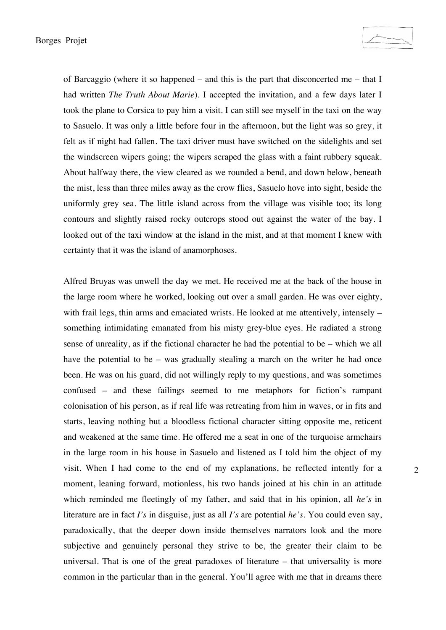of Barcaggio (where it so happened – and this is the part that disconcerted me – that I had written *The Truth About Marie*). I accepted the invitation, and a few days later I took the plane to Corsica to pay him a visit. I can still see myself in the taxi on the way to Sasuelo. It was only a little before four in the afternoon, but the light was so grey, it felt as if night had fallen. The taxi driver must have switched on the sidelights and set the windscreen wipers going; the wipers scraped the glass with a faint rubbery squeak. About halfway there, the view cleared as we rounded a bend, and down below, beneath the mist, less than three miles away as the crow flies, Sasuelo hove into sight, beside the uniformly grey sea. The little island across from the village was visible too; its long contours and slightly raised rocky outcrops stood out against the water of the bay. I looked out of the taxi window at the island in the mist, and at that moment I knew with certainty that it was the island of anamorphoses.

Alfred Bruyas was unwell the day we met. He received me at the back of the house in the large room where he worked, looking out over a small garden. He was over eighty, with frail legs, thin arms and emaciated wrists. He looked at me attentively, intensely – something intimidating emanated from his misty grey-blue eyes. He radiated a strong sense of unreality, as if the fictional character he had the potential to be – which we all have the potential to be – was gradually stealing a march on the writer he had once been. He was on his guard, did not willingly reply to my questions, and was sometimes confused – and these failings seemed to me metaphors for fiction's rampant colonisation of his person, as if real life was retreating from him in waves, or in fits and starts, leaving nothing but a bloodless fictional character sitting opposite me, reticent and weakened at the same time. He offered me a seat in one of the turquoise armchairs in the large room in his house in Sasuelo and listened as I told him the object of my visit. When I had come to the end of my explanations, he reflected intently for a moment, leaning forward, motionless, his two hands joined at his chin in an attitude which reminded me fleetingly of my father, and said that in his opinion, all *he's* in literature are in fact *I's* in disguise, just as all *I's* are potential *he's*. You could even say, paradoxically, that the deeper down inside themselves narrators look and the more subjective and genuinely personal they strive to be, the greater their claim to be universal. That is one of the great paradoxes of literature – that universality is more common in the particular than in the general. You'll agree with me that in dreams there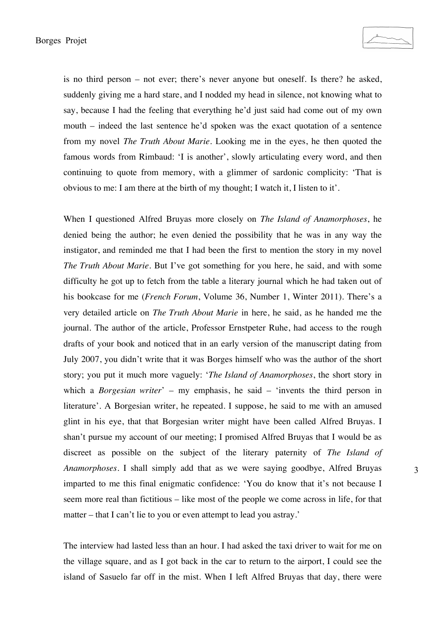is no third person – not ever; there's never anyone but oneself. Is there? he asked, suddenly giving me a hard stare, and I nodded my head in silence, not knowing what to say, because I had the feeling that everything he'd just said had come out of my own mouth – indeed the last sentence he'd spoken was the exact quotation of a sentence from my novel *The Truth About Marie*. Looking me in the eyes, he then quoted the famous words from Rimbaud: 'I is another', slowly articulating every word, and then continuing to quote from memory, with a glimmer of sardonic complicity: 'That is obvious to me: I am there at the birth of my thought; I watch it, I listen to it'.

When I questioned Alfred Bruyas more closely on *The Island of Anamorphoses*, he denied being the author; he even denied the possibility that he was in any way the instigator, and reminded me that I had been the first to mention the story in my novel *The Truth About Marie*. But I've got something for you here, he said, and with some difficulty he got up to fetch from the table a literary journal which he had taken out of his bookcase for me (*French Forum*, Volume 36, Number 1, Winter 2011). There's a very detailed article on *The Truth About Marie* in here, he said, as he handed me the journal. The author of the article, Professor Ernstpeter Ruhe, had access to the rough drafts of your book and noticed that in an early version of the manuscript dating from July 2007, you didn't write that it was Borges himself who was the author of the short story; you put it much more vaguely: '*The Island of Anamorphoses*, the short story in which a *Borgesian writer*' – my emphasis, he said – 'invents the third person in literature'. A Borgesian writer, he repeated. I suppose, he said to me with an amused glint in his eye, that that Borgesian writer might have been called Alfred Bruyas. I shan't pursue my account of our meeting; I promised Alfred Bruyas that I would be as discreet as possible on the subject of the literary paternity of *The Island of Anamorphoses*. I shall simply add that as we were saying goodbye, Alfred Bruyas imparted to me this final enigmatic confidence: 'You do know that it's not because I seem more real than fictitious – like most of the people we come across in life, for that matter – that I can't lie to you or even attempt to lead you astray.'

The interview had lasted less than an hour. I had asked the taxi driver to wait for me on the village square, and as I got back in the car to return to the airport, I could see the island of Sasuelo far off in the mist. When I left Alfred Bruyas that day, there were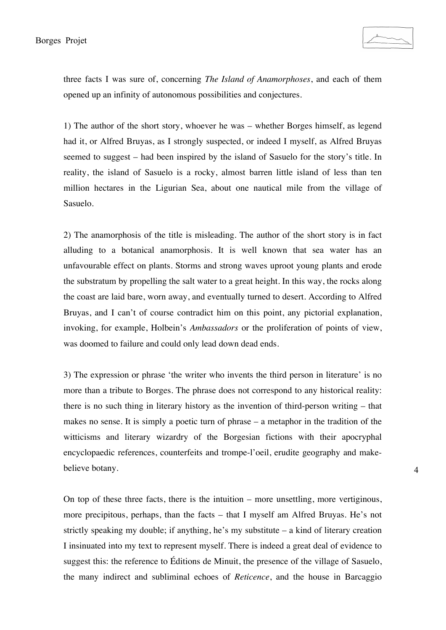three facts I was sure of, concerning *The Island of Anamorphoses*, and each of them opened up an infinity of autonomous possibilities and conjectures.

1) The author of the short story, whoever he was – whether Borges himself, as legend had it, or Alfred Bruyas, as I strongly suspected, or indeed I myself, as Alfred Bruyas seemed to suggest – had been inspired by the island of Sasuelo for the story's title. In reality, the island of Sasuelo is a rocky, almost barren little island of less than ten million hectares in the Ligurian Sea, about one nautical mile from the village of Sasuelo.

2) The anamorphosis of the title is misleading. The author of the short story is in fact alluding to a botanical anamorphosis. It is well known that sea water has an unfavourable effect on plants. Storms and strong waves uproot young plants and erode the substratum by propelling the salt water to a great height. In this way, the rocks along the coast are laid bare, worn away, and eventually turned to desert. According to Alfred Bruyas, and I can't of course contradict him on this point, any pictorial explanation, invoking, for example, Holbein's *Ambassadors* or the proliferation of points of view, was doomed to failure and could only lead down dead ends.

3) The expression or phrase 'the writer who invents the third person in literature' is no more than a tribute to Borges. The phrase does not correspond to any historical reality: there is no such thing in literary history as the invention of third-person writing – that makes no sense. It is simply a poetic turn of phrase – a metaphor in the tradition of the witticisms and literary wizardry of the Borgesian fictions with their apocryphal encyclopaedic references, counterfeits and trompe-l'oeil, erudite geography and makebelieve botany.

On top of these three facts, there is the intuition – more unsettling, more vertiginous, more precipitous, perhaps, than the facts – that I myself am Alfred Bruyas. He's not strictly speaking my double; if anything, he's my substitute – a kind of literary creation I insinuated into my text to represent myself. There is indeed a great deal of evidence to suggest this: the reference to Éditions de Minuit, the presence of the village of Sasuelo, the many indirect and subliminal echoes of *Reticence*, and the house in Barcaggio